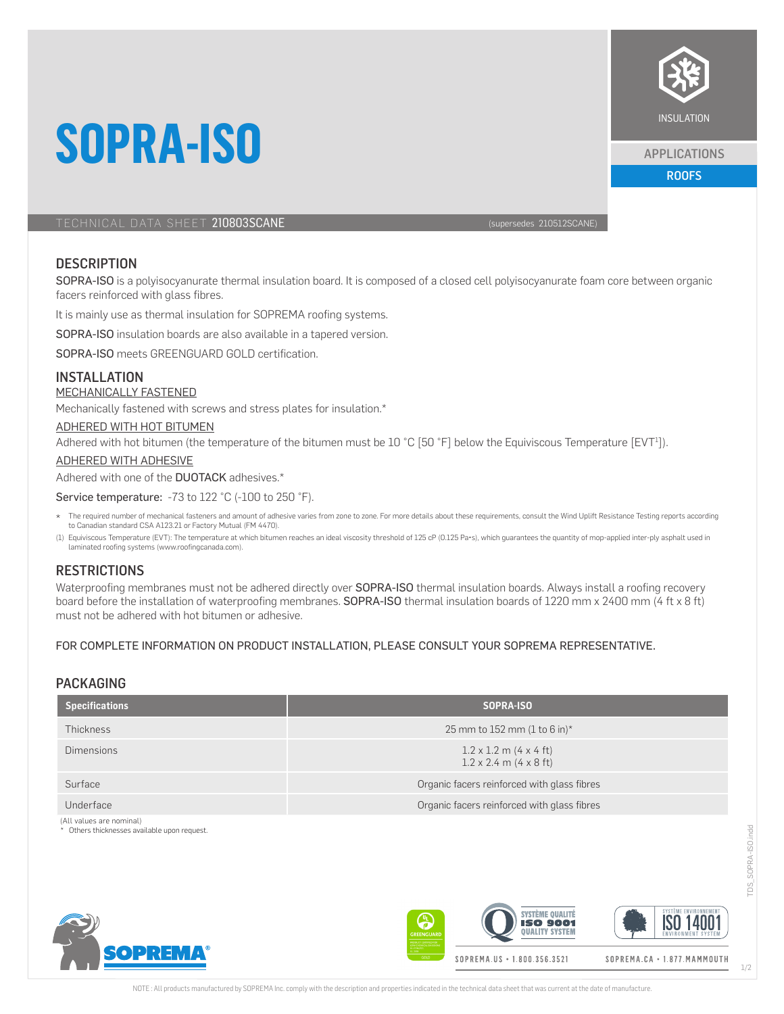

#### APPLICATIONS

ROOFS

## TECHNICAL DATA SHEET 210803SCANE (supersedes 210512SCANE)

**SOPRA-ISO**

## **DESCRIPTION**

SOPRA-ISO is a polyisocyanurate thermal insulation board. It is composed of a closed cell polyisocyanurate foam core between organic facers reinforced with glass fibres.

It is mainly use as thermal insulation for SOPREMA roofing systems.

SOPRA-ISO insulation boards are also available in a tapered version.

SOPRA-ISO meets GREENGUARD GOLD certification.

## INSTALLATION

#### MECHANICALLY FASTENED

Mechanically fastened with screws and stress plates for insulation.\*

#### ADHERED WITH HOT BITUMEN

Adhered with hot bitumen (the temperature of the bitumen must be 10 °C [50 °F] below the Equiviscous Temperature [EVT<sup>1</sup>]).

### ADHERED WITH ADHESIVE

#### Adhered with one of the **DUOTACK** adhesives.\*

#### Service temperature: -73 to 122 °C (-100 to 250 °F).

- \* The required number of mechanical fasteners and amount of adhesive varies from zone to zone. For more details about these requirements, consult the Wind Uplift Resistance Testing reports according to Canadian standard CSA A123.21 or Factory Mutual (FM 4470).
- (1) Equiviscous Temperature (EVT): The temperature at which bitumen reaches an ideal viscosity threshold of 125 cP (0.125 Pa•s), which guarantees the quantity of mop-applied inter-ply asphalt used in laminated roofing systems (www.roofingcanada.com).

### **RESTRICTIONS**

Waterproofing membranes must not be adhered directly over SOPRA-ISO thermal insulation boards. Always install a roofing recovery board before the installation of waterproofing membranes. SOPRA-ISO thermal insulation boards of 1220 mm x 2400 mm (4 ft x 8 ft) must not be adhered with hot bitumen or adhesive.

#### FOR COMPLETE INFORMATION ON PRODUCT INSTALLATION, PLEASE CONSULT YOUR SOPREMA REPRESENTATIVE.

# PACKAGING

| <b>Specifications</b> | SOPRA-ISO                                                             |  |
|-----------------------|-----------------------------------------------------------------------|--|
| Thickness             | 25 mm to 152 mm (1 to 6 in)*                                          |  |
| <b>Dimensions</b>     | $1.2 \times 1.2$ m (4 x 4 ft)<br>$1.2 \times 2.4$ m $(4 \times 8$ ft) |  |
| Surface               | Organic facers reinforced with glass fibres                           |  |
| Underface             | Organic facers reinforced with glass fibres                           |  |

(All values are nominal)

Others thicknesses available upon request.





TDS\_SOPRA-ISO.indd

SOPRA-ISO.indd